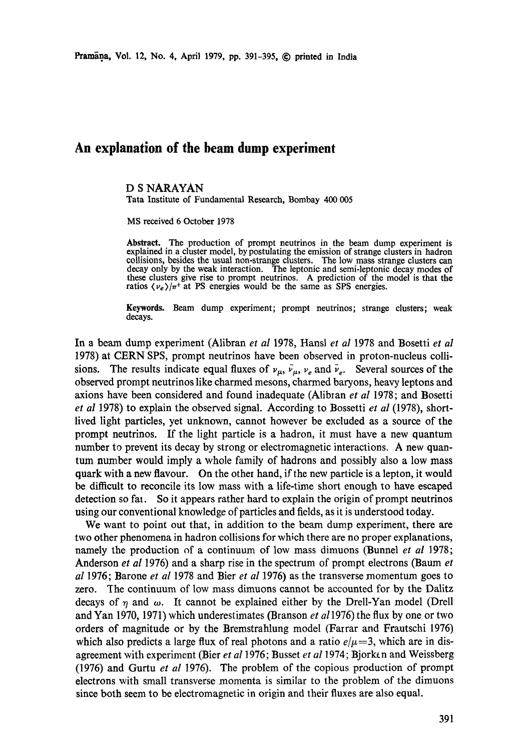# **An explanation of the beam dump experiment**

## D S NARAYAN

**Tara** Institute of Fundamental Research, Bombay 400 005

MS received 6 October 1978

**Abstract.** The production of prompt neutrinos in the beam dump experiment is explained in a cluster model, by postulating the emission of strange clusters in hadron collisions, besides the usual non-strange clusters. The low mass strange clusters can decay only by the weak interaction. The leptonic and semi-leptonic decay modes of these clusters give rise to prompt neutrinos. A prediction of the model is that the ratios  $\langle v_e \rangle / \pi^+$  at PS energies would be the same as SPS energies.

Keywords. Beam dump experiment; prompt neutrinos; strange clusters; weak decays.

In a beam dump experiment (Alibran *et al* 1978, Hansl *et al* 1978 and Bosetti *et al*  1978) at CERN SPS, prompt neutrinos have been observed in proton-nucleus collisions. The results indicate equal fluxes of  $v_{\mu}$ ,  $\bar{v}_{\mu}$ ,  $v_e$  and  $\bar{v}_e$ . Several sources of the observed prompt neutrinos like charmed mesons, charmed baryons, heavy leptons and axions have been considered and found inadequate (Alibran *et al* 1978; and Bosetti *et al* 1978) to explain the observed signal. According to Bossetti *et al* (1978), shortlived light particles, yet unknown, cannot however be excluded as a source of the prompt neutrinos. If the light particle is a hadron, it must have a new quantum number to prevent its decay by strong or electromagnetic interactions. A new quantum number would imply a whole family of hadrons and possibly also a low mass quark with a new flavour. On the other hand, if the new particle is a lepton, it would be difficult to reconcile its low mass with a life-time short enough to have escaped detection so fat. So it appears rather hard to explain the origin of prompt neutrinos using our conventional knowledge of particles and fields, as it is understood today.

We want to point out that, in addition to the beam dump experiment, there are two other phenomena in hadron collisions for which there are no proper explanations, namely the production of a continuum of low mass dimuons (Bunnel *et al* 1978; Anderson *et al* 1976) and a sharp rise in the spectrum of prompt electrons (Baum *et al* 1976; Barone *et al* 1978 and Bier *et al* 1976) as the transverse momentum goes to zero. The continuum of low mass dimuons cannot be accounted for by the Dalitz decays of  $\eta$  and  $\omega$ . It cannot be explained either by the Drell-Yan model (Drell and Yah 1970, 1971) which underestimates (Branson *et a11976)* the flux by one or two orders of magnitude or by the Bremstrahlung model (Farrar and Frautschi 1976) which also predicts a large flux of real photons and a ratio  $e/\mu=3$ , which are in disagreement with experiment (Bier *et al* 1976; Busset *et al* 1974; Bjork¢ n and Weissberg (1976) and Gurtu *et al* 1976). The problem of the copious production of prompt electrons with small transverse momenta is similar to the problem of the dimuons since both seem to be electromagnetic in origin and their fluxes are also equal.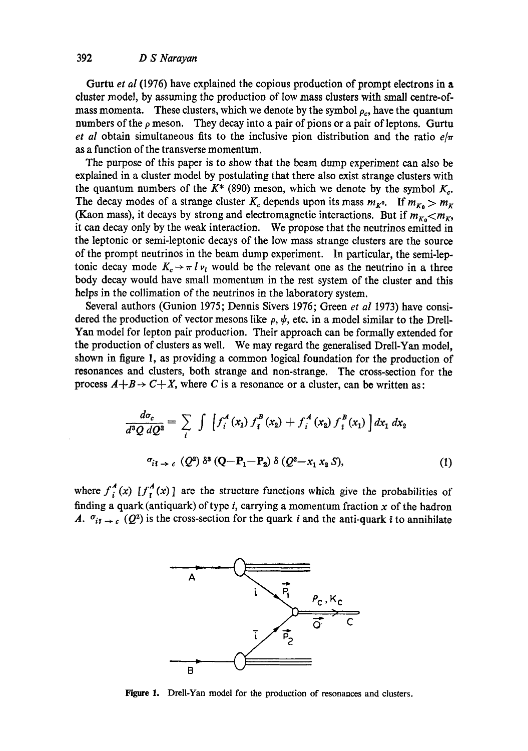# 392 *D S Narayan*

Gurtu *et al* (1976) have explained the copious production of prompt electrons in a duster model, by assuming the production of low mass dusters with small centre-ofmass momenta. These clusters, which we denote by the symbol  $\rho_c$ , have the quantum numbers of the  $\rho$  meson. They decay into a pair of pions or a pair of leptons. Gurtu *et al* obtain simultaneous fits to the inclusive pion distribution and the ratio  $e/\pi$ as a function of the transverse momentum.

The purpose of this paper is to show that the beam dump experiment can also be explained in a duster model by postulating that there also exist strange dusters with the quantum numbers of the  $K^*$  (890) meson, which we denote by the symbol  $K_c$ . The decay modes of a strange cluster  $K_c$  depends upon its mass  $m_{K^0}$ . If  $m_{K_0} > m_K$ (Kaon mass), it decays by strong and electromagnetic interactions. But if  $m_{K_0} < m_K$ , it can decay only by the weak interaction. We propose that the neutrinos emitted in the leptonic or semi-leptonic decays of the low mass stiange dusters are the source of the prompt neutrinos in the beam dump experiment. In particular, the semi-leptonic decay mode  $K_c \rightarrow \pi l v_l$  would be the relevant one as the neutrino in a three body decay would have small momentum in the rest system of the cluster and this helps in the collimation of the neutrinos in the laboratory system.

Several authors (Gunion 1975; Dennis Sivers 1976; Green *et al* 1973) have considered the production of vector mesons like  $\rho, \psi$ , etc. in a model similar to the Drell-Yan model for lepton pair production. Their approach can be formally extended for the production of dusters as well. We may regard the generalised Drell-Yan model, shown in figure 1, as pioviding a common logical foundation for the production of resonances and dusters, both strange and non-strange. The cross-section for the process  $A + B \rightarrow C + X$ , where C is a resonance or a cluster, can be written as:

$$
\frac{d\sigma_c}{d^3 Q \, dQ^2} = \sum_i \int \left[ f_i^A(x_1) \, f_i^B(x_2) + f_i^A(x_2) \, f_i^B(x_1) \right] dx_1 \, dx_2
$$
\n
$$
\sigma_{i1 \to c} \, (Q^2) \, \delta^3 \, (Q - P_1 - P_2) \, \delta \, (Q^2 - x_1 \, x_2 \, S), \tag{1}
$$

where  $f_i^A(x)$  [ $f_i^A(x)$ ] are the structure functions which give the probabilities of finding a quark (antiquark) of type i, carrying a momentum fraction  $x$  of the hadron A.  $\sigma_{i\bar{i}} \rightarrow c$  (Q<sup>2</sup>) is the cross-section for the quark i and the anti-quark i to annihilate



Figure 1. Drell-Yan model for the production of resonances and clusters.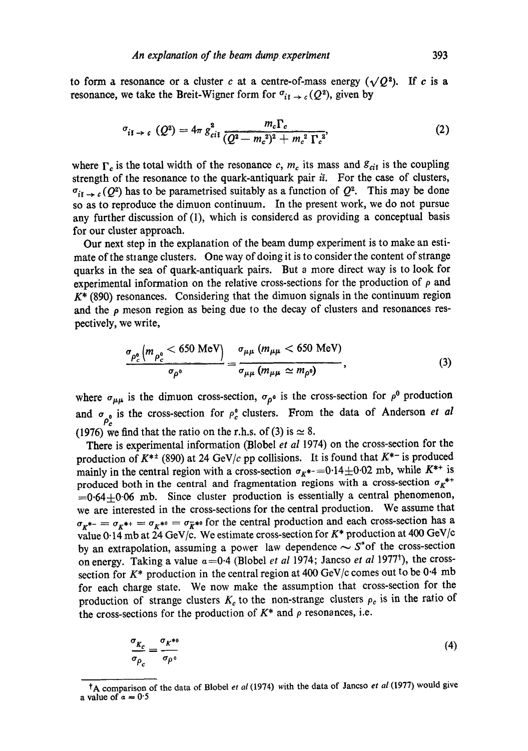to form a resonance or a cluster c at a centre-of-mass energy  $(\sqrt{Q^2})$ . If c is a resonance, we take the Breit-Wigner form for  $\sigma_{i\bar{i}} \rightarrow c (Q^2)$ , given by

$$
\sigma_{i\bar{i}\to c} (Q^2) = 4\pi g_{c\bar{i}\bar{i}}^2 \frac{m_c \Gamma_c}{(Q^2 - m_c^2)^2 + m_c^2 \Gamma_c^2},
$$
 (2)

where  $\Gamma_c$  is the total width of the resonance c,  $m_c$  its mass and  $g_{ci\bar{i}}$  is the coupling strength of the resonance to the quark-antiquark pair  $ii$ . For the case of clusters,  $\sigma_{i\bar{i}} \rightarrow c(Q^2)$  has to be parametrised suitably as a function of  $Q^2$ . This may be done so as to reproduce the dimuon continuum. In the present work, we do not pursue any further discussion of (1), which is considered as providing a conceptual basis for our cluster approach.

Our next step in the explanation of the beam dump experiment is to make an estimate of the strange clusters. One way of doing it is to consider the content of strange quarks in the sea of quark-antiquark pairs. But a more direct way is to look for experimental information on the relative cross-sections for the production of  $\rho$  and  $K^*$  (890) resonances. Considering that the dimuon signals in the continuum region and the  $\rho$  meson region as being due to the decay of clusters and resonances respectively, we write,

$$
\frac{\sigma_{\rho_c^0}(m_{\rho_c^0} < 650 \text{ MeV})}{\sigma_{\rho^0}} = \frac{\sigma_{\mu\mu}(m_{\mu\mu} < 650 \text{ MeV})}{\sigma_{\mu\mu}(m_{\mu\mu} \simeq m_{\rho^0})},\tag{3}
$$

where  $\sigma_{\mu\mu}$  is the dimuon cross-section,  $\sigma_{\rho^0}$  is the cross-section for  $\rho^0$  production and  $\sigma_0$  is the cross-section for  $\rho^0$  clusters. From the data of Anderson *et al* Pc (1976) we find that the ratio on the r.h.s. of (3) is  $\simeq 8$ .

There is experimental information (Blobel *et al* 1974) on the cross-section for the production of  $K^{*+}$  (890) at 24 GeV/c pp collisions. It is found that  $K^{*-}$  is produced mainly in the central region with a cross-section  $\sigma_{K^{*-}}=0.14\pm0.02$  mb, while  $K^{**}$  is produced both in the central and fragmentation regions with a cross-section  $\sigma_K^{*+}$  $=0.64\pm0.06$  mb. Since cluster production is essentially a central phenomenon, we are interested in the cross-sections for the central production. We assume that  $\sigma_{K^{*-}} = \sigma_{K^{*+}} = \sigma_{K^{*0}} = \sigma_{\bar{K}^{*0}}$  for the central production and each cross-section has a value 0.14 mb at 24 GeV/c. We estimate cross-section for  $K^*$  production at 400 GeV/c by an extrapolation, assuming a power law dependence  $\sim S^*$  of the cross-section on energy. Taking a value  $a=0.4$  (Blobel *et al 1974*; Jancso *et al 1977<sup>†</sup>)*, the crosssection for  $K^*$  production in the central region at 400 GeV/c comes out to be 0.4 mb for each charge state. We now make the assumption that cross-section for the production of strange clusters  $K_c$  to the non-strange clusters  $\rho_c$  is in the ratio of the cross-sections for the production of  $K^*$  and  $\rho$  resonances, i.e.

$$
\frac{\sigma_{K_c}}{\sigma_{\rho_c}} = \frac{\sigma_{K^{*0}}}{\sigma_{\rho^0}}
$$
\n(4)

tA comparison of the data of Blobel *et al* (1974) with the data of Jancso *et al* (1977) would give a value of  $\alpha = 0.5$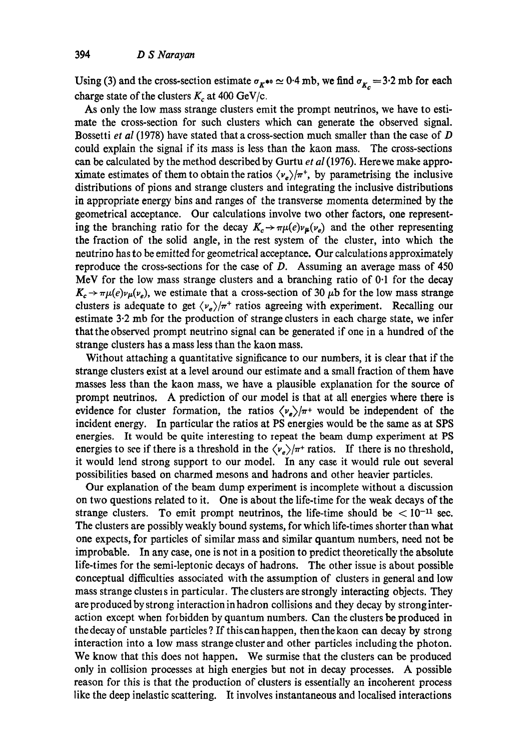Using (3) and the cross-section estimate  $\sigma_{K^{*0}} \approx 0.4$  mb, we find  $\sigma_{K_c} = 3.2$  mb for each charge state of the clusters  $K_c$  at 400 GeV/c.

As only the low mass strange clusters emit the prompt neutrinos, we have to estimate the cross-section for such clusters which can generate the observed signal. Bossetti *et al* (1978) have stated that a cross-section much smaller than the case of D could explain the signal if its mass is less than the kaon mass. The cross-sections can be calculated by the method described by Gurtu *et al* (1976). Here we make approximate estimates of them to obtain the ratios  $\langle v_e \rangle / \pi^+$ , by parametrising the inclusive distributions of pions and strange clusters and integrating the inclusive distributions in appropriate energy bins and ranges of the transverse momenta determined by the geometrical acceptance. Our calculations involve two other factors, one representing the branching ratio for the decay  $K_c \rightarrow \pi \mu(e)\nu_{\mu}(v_e)$  and the other representing the fraction of the solid angle, in the rest system of the duster, into which the neutrino has to be emitted for geometrical acceptance. Our calculations approximately reproduce the cross-sections for the case of  $D$ . Assuming an average mass of 450 MeV for the low mass strange dusters and a branching ratio of 0.1 for the decay  $K_c \rightarrow \pi \mu(e) \nu_{\mu}(\nu_e)$ , we estimate that a cross-section of 30  $\mu$ b for the low mass strange clusters is adequate to get  $\langle v_e \rangle / \pi^+$  ratios agreeing with experiment. Recalling our estimate 3.2 mb for the production of strange clusters in each charge state, we infer that the observed prompt neutrino signal can be generated if one in a hundred of the strange clusters has a mass less than the kaon mass.

Without attaching a quantitative significance to our numbers, it is clear that if the strange dusters exist at a level around our estimate and a small fraction of them have masses less than the kaon mass, we have a plausible explanation for the source of prompt neutrinos. A prediction of our model is that at all energies where there is evidence for cluster formation, the ratios  $\langle v_{\rho} \rangle / \pi$ + would be independent of the incident energy. In particular the ratios at PS energies would be the same as at SPS energies. It would be quite interesting to repeat the beam dump experiment at PS energies to see if there is a threshold in the  $\langle v_e \rangle / \pi^+$  ratios. If there is no threshold, it would lend strong support to our model. In any case it would rule out several possibilities based on charmed mesons and hadrons and other heavier particles.

Our explanation of the beam dump experiment is incomplete without a discussion on two questions related to it. One is about the life-time for the weak decays of the strange clusters. To emit prompt neutrinos, the life-time should be  $\lt 10^{-11}$  sec. The clusters are possibly weakly bound systems, for which life-times shorter than what one expects, for particles of similar mass and similar quantum numbers, need not be improbable. In any case, one is not in a position to predict theoretically the absolute life-times for the semi-leptonic decays of hadrons. The other issue is about possible conceptual difficulties associated with the assumption of clusters in general and low mass strange clusters in particular. The clusters are strongly interacting objects. They are produced by strong interaction in hadron collisions and they decay by strong interaction except when folbidden by quantum numbers. Can the dusters be produced in the decay of unstable particles ? If this can happen, then the kaon can decay by strong interaction into a low mass strange duster and other particles including the photon. We know that this does not happen. We surmise that the dusters can be produced only in collision processes at high energies but not in decay processes. A possible reason for this is that the production of dusters is essentially an incoherent process like the deep inelastic scattering. It involves instantaneous and localised interactions